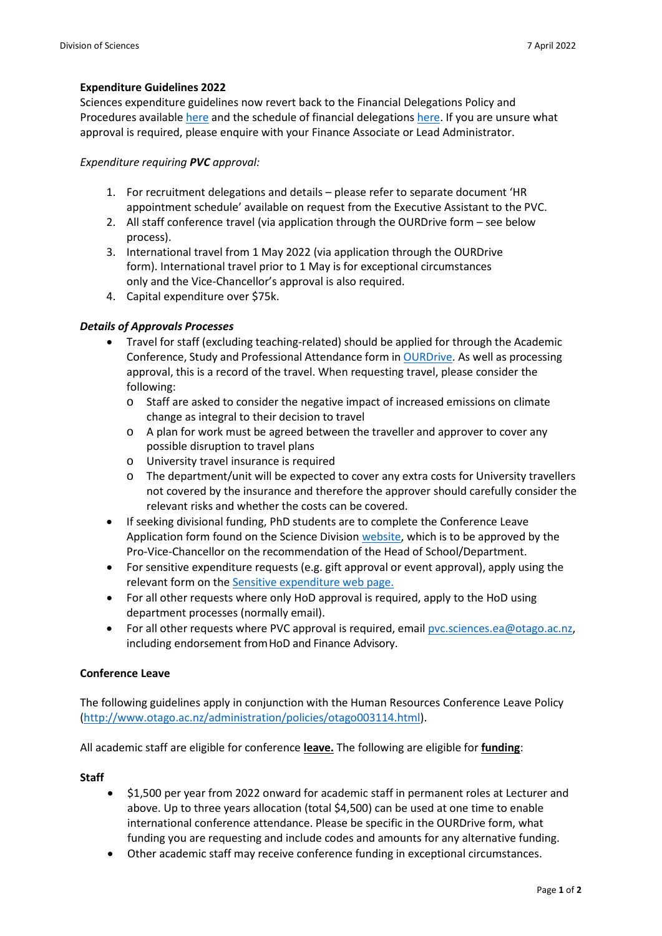# **Expenditure Guidelines 2022**

Sciences expenditure guidelines now revert back to the Financial Delegations Policy and Procedures available [here](https://www.otago.ac.nz/financialservices/reference/policy/otago003139.html) and the schedule of financial delegations [here.](https://www.otago.ac.nz/financialservices/about/otago029592.html) If you are unsure what approval is required, please enquire with your Finance Associate or Lead Administrator.

#### *Expenditure requiring PVC approval:*

- 1. For recruitment delegations and details please refer to separate document 'HR appointment schedule' available on request from the Executive Assistant to the PVC.
- 2. All staff conference travel (via application through the OURDrive form see below process).
- 3. International travel from 1 May 2022 (via application through the OURDrive form). International travel prior to 1 May is for exceptional circumstances only and the Vice-Chancellor's approval is also required.
- 4. Capital expenditure over \$75k.

# *Details of Approvals Processes*

- Travel for staff (excluding teaching-related) should be applied for through the Academic Conference, Study and Professional Attendance form in [OURDrive.](https://ourdrive.otago.ac.nz/teams/SciDivOffice/Lists/ConferenceLeave/By%20Status.aspx) As well as processing approval, this is a record of the travel. When requesting travel, please consider the following:
	- o Staff are asked to consider the negative impact of increased emissions on climate change as integral to their decision to travel
	- o A plan for work must be agreed between the traveller and approver to cover any possible disruption to travel plans
	- o University travel insurance is required
	- o The department/unit will be expected to cover any extra costs for University travellers not covered by the insurance and therefore the approver should carefully consider the relevant risks and whether the costs can be covered.
- If seeking divisional funding, PhD students are to complete the Conference Leave Application form found on the Science Divisio[n website,](https://www.otago.ac.nz/sciences/about/index.html#leave) which is to be approved by the Pro-Vice-Chancellor on the recommendation of the Head of School/Department.
- For sensitive expenditure requests (e.g. gift approval or event approval), apply using the relevant form on the [Sensitive expenditure web page.](https://www.otago.ac.nz/administration/policies/otago215001.html)
- For all other requests where only HoD approval is required, apply to the HoD using department processes (normally email).
- For all other requests where PVC approval is required, email [pvc.sciences.ea@otago.ac.nz,](mailto:pvc.sciences.ea@otago.ac.nz) including endorsement fromHoD and Finance Advisory.

# **Conference Leave**

The following guidelines apply in conjunction with the Human Resources Conference Leave Policy [\(http://www.otago.ac.nz/administration/policies/otago003114.html\)](http://www.otago.ac.nz/administration/policies/otago003114.html).

All academic staff are eligible for conference **leave.** The following are eligible for **funding**:

#### **Staff**

- \$1,500 per year from 2022 onward for academic staff in permanent roles at Lecturer and above. Up to three years allocation (total \$4,500) can be used at one time to enable international conference attendance. Please be specific in the OURDrive form, what funding you are requesting and include codes and amounts for any alternative funding.
- Other academic staff may receive conference funding in exceptional circumstances.